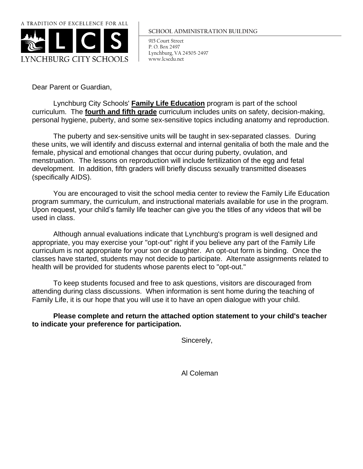

## **SCHOOL ADMINISTRATION BUILDING**

915 Court Street P. O. Box 2497 Lynchburg, VA 24505-2497 www.lcsedu.net

Dear Parent or Guardian,

Lynchburg City Schools' **Family Life Education** program is part of the school curriculum. The **fourth and fifth grade** curriculum includes units on safety, decision-making, personal hygiene, puberty, and some sex-sensitive topics including anatomy and reproduction.

The puberty and sex-sensitive units will be taught in sex-separated classes. During these units, we will identify and discuss external and internal genitalia of both the male and the female, physical and emotional changes that occur during puberty, ovulation, and menstruation. The lessons on reproduction will include fertilization of the egg and fetal development. In addition, fifth graders will briefly discuss sexually transmitted diseases (specifically AIDS).

You are encouraged to visit the school media center to review the Family Life Education program summary, the curriculum, and instructional materials available for use in the program. Upon request, your child's family life teacher can give you the titles of any videos that will be used in class.

Although annual evaluations indicate that Lynchburg's program is well designed and appropriate, you may exercise your "opt-out" right if you believe any part of the Family Life curriculum is not appropriate for your son or daughter. An opt-out form is binding. Once the classes have started, students may not decide to participate. Alternate assignments related to health will be provided for students whose parents elect to "opt-out."

To keep students focused and free to ask questions, visitors are discouraged from attending during class discussions. When information is sent home during the teaching of Family Life, it is our hope that you will use it to have an open dialogue with your child.

**Please complete and return the attached option statement to your child's teacher to indicate your preference for participation.**

Sincerely,

Al Coleman